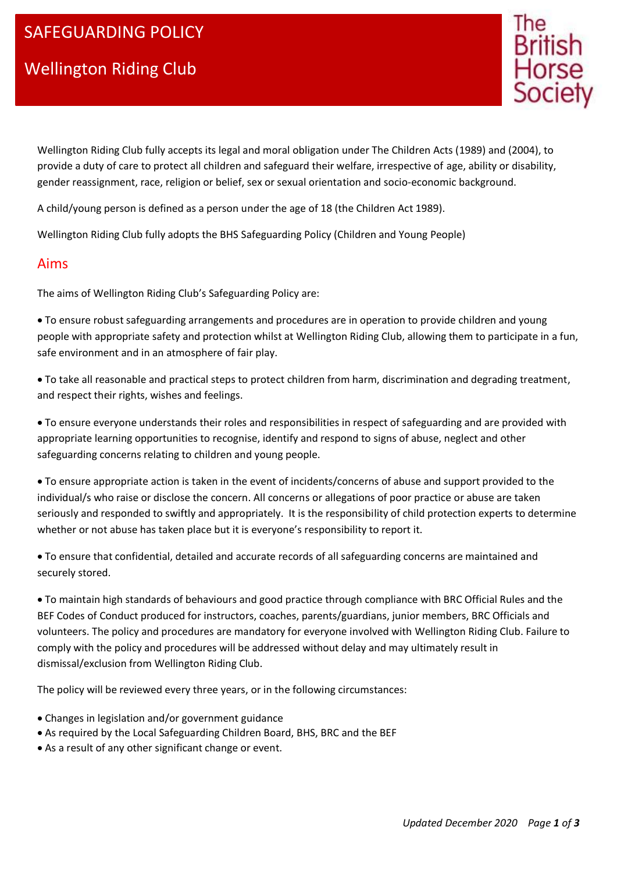# Wellington Riding Club



Wellington Riding Club fully accepts its legal and moral obligation under The Children Acts (1989) and (2004), to provide a duty of care to protect all children and safeguard their welfare, irrespective of age, ability or disability, gender reassignment, race, religion or belief, sex or sexual orientation and socio-economic background.

A child/young person is defined as a person under the age of 18 (the Children Act 1989).

Wellington Riding Club fully adopts the BHS Safeguarding Policy (Children and Young People)

#### Aims

The aims of Wellington Riding Club's Safeguarding Policy are:

 To ensure robust safeguarding arrangements and procedures are in operation to provide children and young people with appropriate safety and protection whilst at Wellington Riding Club, allowing them to participate in a fun, safe environment and in an atmosphere of fair play.

 To take all reasonable and practical steps to protect children from harm, discrimination and degrading treatment, and respect their rights, wishes and feelings.

 To ensure everyone understands their roles and responsibilities in respect of safeguarding and are provided with appropriate learning opportunities to recognise, identify and respond to signs of abuse, neglect and other safeguarding concerns relating to children and young people.

 To ensure appropriate action is taken in the event of incidents/concerns of abuse and support provided to the individual/s who raise or disclose the concern. All concerns or allegations of poor practice or abuse are taken seriously and responded to swiftly and appropriately. It is the responsibility of child protection experts to determine whether or not abuse has taken place but it is everyone's responsibility to report it.

 To ensure that confidential, detailed and accurate records of all safeguarding concerns are maintained and securely stored.

 To maintain high standards of behaviours and good practice through compliance with BRC Official Rules and the BEF Codes of Conduct produced for instructors, coaches, parents/guardians, junior members, BRC Officials and volunteers. The policy and procedures are mandatory for everyone involved with Wellington Riding Club. Failure to comply with the policy and procedures will be addressed without delay and may ultimately result in dismissal/exclusion from Wellington Riding Club.

The policy will be reviewed every three years, or in the following circumstances:

- Changes in legislation and/or government guidance
- As required by the Local Safeguarding Children Board, BHS, BRC and the BEF
- As a result of any other significant change or event.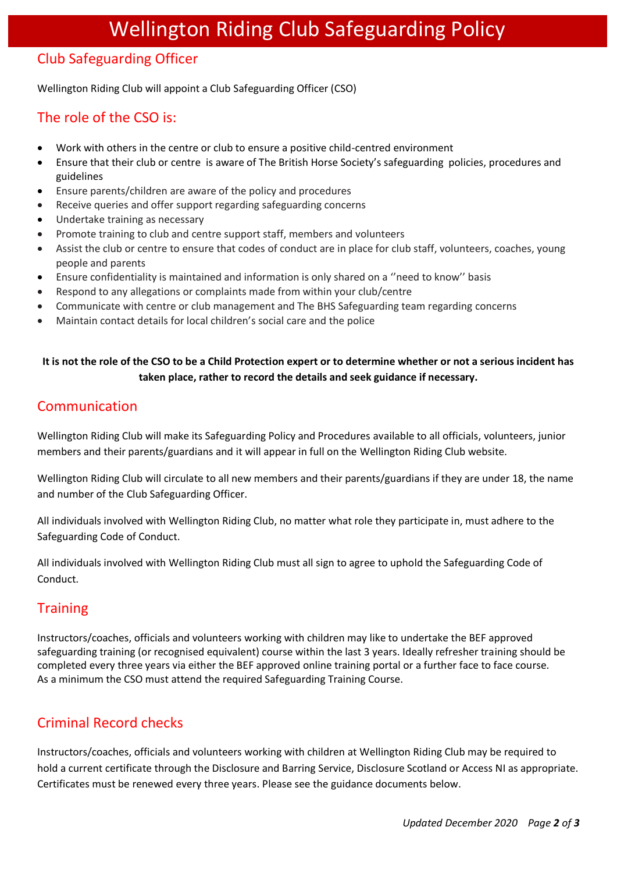## Club Safeguarding Officer

Wellington Riding Club will appoint a Club Safeguarding Officer (CSO)

## The role of the CSO is:

- Work with others in the centre or club to ensure a positive child-centred environment
- Ensure that their club or centre is aware of The British Horse Society's safeguarding policies, procedures and guidelines
- Ensure parents/children are aware of the policy and procedures
- Receive queries and offer support regarding safeguarding concerns
- Undertake training as necessary
- Promote training to club and centre support staff, members and volunteers
- Assist the club or centre to ensure that codes of conduct are in place for club staff, volunteers, coaches, young people and parents
- Ensure confidentiality is maintained and information is only shared on a ''need to know'' basis
- Respond to any allegations or complaints made from within your club/centre
- Communicate with centre or club management and The BHS Safeguarding team regarding concerns
- Maintain contact details for local children's social care and the police

#### **It is not the role of the CSO to be a Child Protection expert or to determine whether or not a serious incident has taken place, rather to record the details and seek guidance if necessary.**

## Communication

Wellington Riding Club will make its Safeguarding Policy and Procedures available to all officials, volunteers, junior members and their parents/guardians and it will appear in full on the Wellington Riding Club website.

Wellington Riding Club will circulate to all new members and their parents/guardians if they are under 18, the name and number of the Club Safeguarding Officer.

All individuals involved with Wellington Riding Club, no matter what role they participate in, must adhere to the Safeguarding Code of Conduct.

All individuals involved with Wellington Riding Club must all sign to agree to uphold the Safeguarding Code of Conduct.

## **Training**

Instructors/coaches, officials and volunteers working with children may like to undertake the BEF approved safeguarding training (or recognised equivalent) course within the last 3 years. Ideally refresher training should be completed every three years via either the BEF approved online training portal or a further face to face course. As a minimum the CSO must attend the required Safeguarding Training Course.

## Criminal Record checks

Instructors/coaches, officials and volunteers working with children at Wellington Riding Club may be required to hold a current certificate through the Disclosure and Barring Service, Disclosure Scotland or Access NI as appropriate. Certificates must be renewed every three years. Please see the guidance documents below.